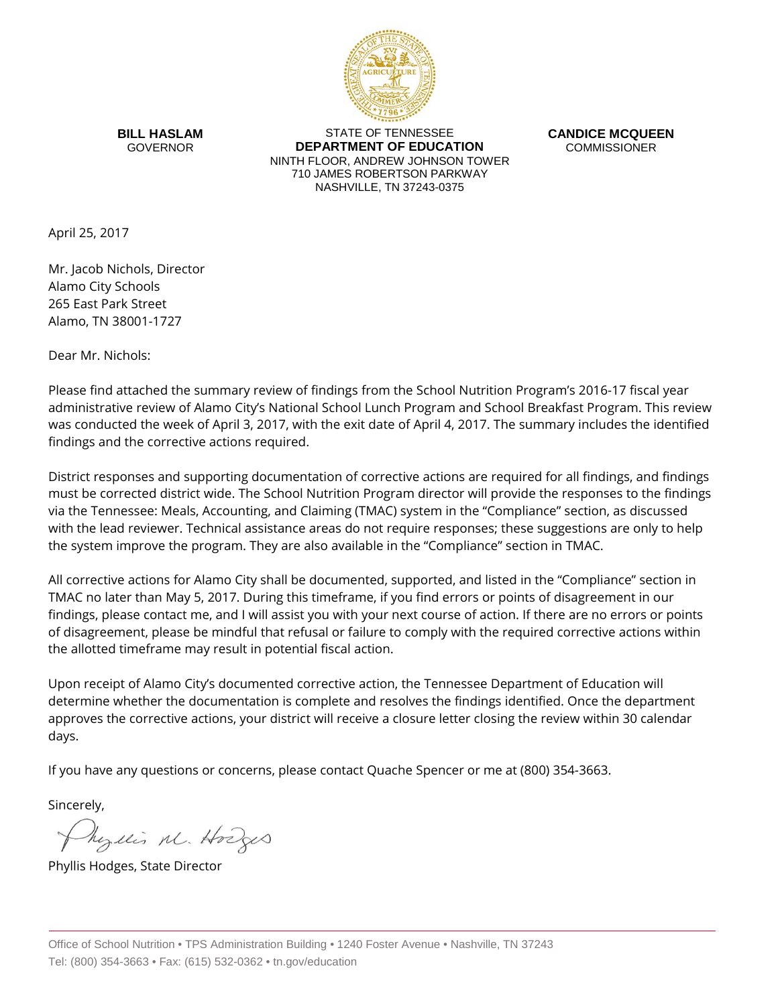

**BILL HASLAM** GOVERNOR

STATE OF TENNESSEE **DEPARTMENT OF EDUCATION** NINTH FLOOR, ANDREW JOHNSON TOWER 710 JAMES ROBERTSON PARKWAY NASHVILLE, TN 37243-0375

**CANDICE MCQUEEN** COMMISSIONER

April 25, 2017

Mr. Jacob Nichols, Director Alamo City Schools 265 East Park Street Alamo, TN 38001-1727

Dear Mr. Nichols:

Please find attached the summary review of findings from the School Nutrition Program's 2016-17 fiscal year administrative review of Alamo City's National School Lunch Program and School Breakfast Program. This review was conducted the week of April 3, 2017, with the exit date of April 4, 2017. The summary includes the identified findings and the corrective actions required.

District responses and supporting documentation of corrective actions are required for all findings, and findings must be corrected district wide. The School Nutrition Program director will provide the responses to the findings via the Tennessee: Meals, Accounting, and Claiming (TMAC) system in the "Compliance" section, as discussed with the lead reviewer. Technical assistance areas do not require responses; these suggestions are only to help the system improve the program. They are also available in the "Compliance" section in TMAC.

All corrective actions for Alamo City shall be documented, supported, and listed in the "Compliance" section in TMAC no later than May 5, 2017. During this timeframe, if you find errors or points of disagreement in our findings, please contact me, and I will assist you with your next course of action. If there are no errors or points of disagreement, please be mindful that refusal or failure to comply with the required corrective actions within the allotted timeframe may result in potential fiscal action.

Upon receipt of Alamo City's documented corrective action, the Tennessee Department of Education will determine whether the documentation is complete and resolves the findings identified. Once the department approves the corrective actions, your district will receive a closure letter closing the review within 30 calendar days.

If you have any questions or concerns, please contact Quache Spencer or me at (800) 354-3663.

Sincerely,

hezelis M. Hodges

Phyllis Hodges, State Director